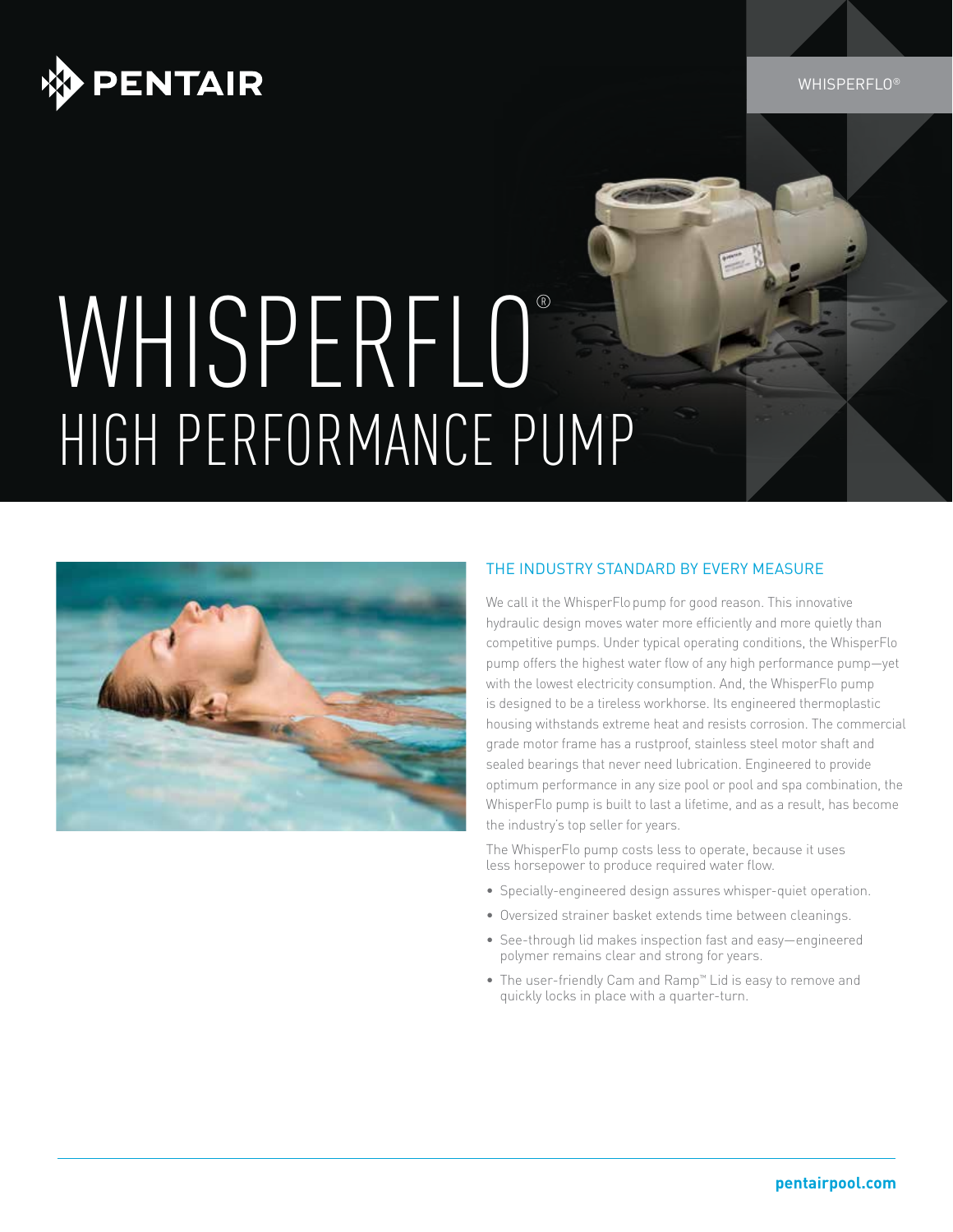



# WHISPERFLO® HIGH PERFORMANCE PUMP



#### The INDUSTRY STANDARD BY EVERY MEASURE

We call it the WhisperFlopump for good reason. This innovative hydraulic design moves water more efficiently and more quietly than competitive pumps. Under typical operating conditions, the WhisperFlo pump offers the highest water flow of any high performance pump—yet with the lowest electricity consumption. And, the WhisperFlo pump is designed to be a tireless workhorse. Its engineered thermoplastic housing withstands extreme heat and resists corrosion. The commercial grade motor frame has a rustproof, stainless steel motor shaft and sealed bearings that never need lubrication. Engineered to provide optimum performance in any size pool or pool and spa combination, the WhisperFlo pump is built to last a lifetime, and as a result, has become the industry's top seller for years.

The WhisperFlo pump costs less to operate, because it uses less horsepower to produce required water flow.

- Specially-engineered design assures whisper-quiet operation.
- Oversized strainer basket extends time between cleanings.
- See-through lid makes inspection fast and easy-engineered polymer remains clear and strong for years.
- The user-friendly Cam and Ramp™ Lid is easy to remove and quickly locks in place with a quarter-turn.